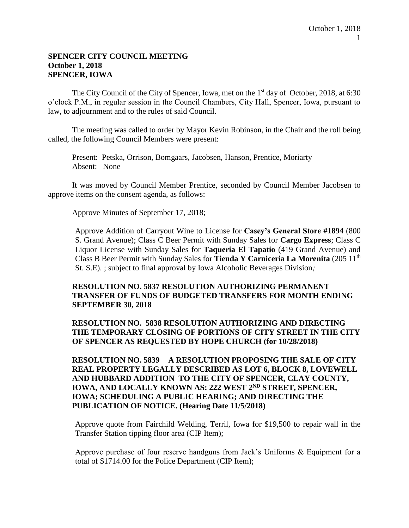#### **SPENCER CITY COUNCIL MEETING October 1, 2018 SPENCER, IOWA**

The City Council of the City of Spencer, Iowa, met on the 1<sup>st</sup> day of October, 2018, at 6:30 o'clock P.M., in regular session in the Council Chambers, City Hall, Spencer, Iowa, pursuant to law, to adjournment and to the rules of said Council.

The meeting was called to order by Mayor Kevin Robinson, in the Chair and the roll being called, the following Council Members were present:

Present: Petska, Orrison, Bomgaars, Jacobsen, Hanson, Prentice, Moriarty Absent: None

It was moved by Council Member Prentice, seconded by Council Member Jacobsen to approve items on the consent agenda, as follows:

Approve Minutes of September 17, 2018;

Approve Addition of Carryout Wine to License for **Casey's General Store #1894** (800 S. Grand Avenue); Class C Beer Permit with Sunday Sales for **Cargo Express**; Class C Liquor License with Sunday Sales for **Taqueria El Tapatio** (419 Grand Avenue) and Class B Beer Permit with Sunday Sales for **Tienda Y Carniceria La Morenita** (205 11th St. S.E). ; subject to final approval by Iowa Alcoholic Beverages Division*;* 

## **RESOLUTION NO. 5837 RESOLUTION AUTHORIZING PERMANENT TRANSFER OF FUNDS OF BUDGETED TRANSFERS FOR MONTH ENDING SEPTEMBER 30, 2018**

**RESOLUTION NO. 5838 RESOLUTION AUTHORIZING AND DIRECTING THE TEMPORARY CLOSING OF PORTIONS OF CITY STREET IN THE CITY OF SPENCER AS REQUESTED BY HOPE CHURCH (for 10/28/2018)**

**RESOLUTION NO. 5839 A RESOLUTION PROPOSING THE SALE OF CITY REAL PROPERTY LEGALLY DESCRIBED AS LOT 6, BLOCK 8, LOVEWELL AND HUBBARD ADDITION TO THE CITY OF SPENCER, CLAY COUNTY, IOWA, AND LOCALLY KNOWN AS: 222 WEST 2ND STREET, SPENCER, IOWA; SCHEDULING A PUBLIC HEARING; AND DIRECTING THE PUBLICATION OF NOTICE. (Hearing Date 11/5/2018)**

Approve quote from Fairchild Welding, Terril, Iowa for \$19,500 to repair wall in the Transfer Station tipping floor area (CIP Item);

Approve purchase of four reserve handguns from Jack's Uniforms & Equipment for a total of \$1714.00 for the Police Department (CIP Item);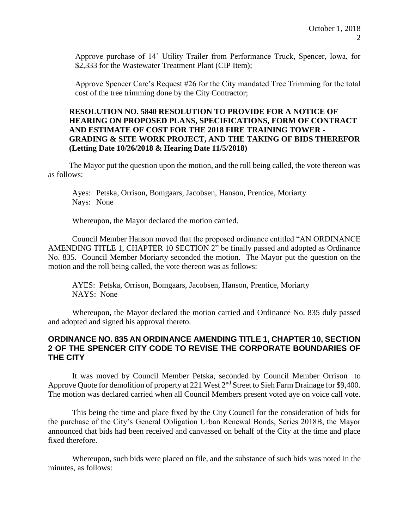Approve purchase of 14' Utility Trailer from Performance Truck, Spencer, Iowa, for \$2,333 for the Wastewater Treatment Plant (CIP Item);

Approve Spencer Care's Request #26 for the City mandated Tree Trimming for the total cost of the tree trimming done by the City Contractor;

## **RESOLUTION NO. 5840 RESOLUTION TO PROVIDE FOR A NOTICE OF HEARING ON PROPOSED PLANS, SPECIFICATIONS, FORM OF CONTRACT AND ESTIMATE OF COST FOR THE 2018 FIRE TRAINING TOWER - GRADING & SITE WORK PROJECT, AND THE TAKING OF BIDS THEREFOR (Letting Date 10/26/2018 & Hearing Date 11/5/2018)**

The Mayor put the question upon the motion, and the roll being called, the vote thereon was as follows:

Ayes: Petska, Orrison, Bomgaars, Jacobsen, Hanson, Prentice, Moriarty Nays: None

Whereupon, the Mayor declared the motion carried.

Council Member Hanson moved that the proposed ordinance entitled "AN ORDINANCE AMENDING TITLE 1, CHAPTER 10 SECTION 2" be finally passed and adopted as Ordinance No. 835. Council Member Moriarty seconded the motion. The Mayor put the question on the motion and the roll being called, the vote thereon was as follows:

AYES: Petska, Orrison, Bomgaars, Jacobsen, Hanson, Prentice, Moriarty NAYS: None

Whereupon, the Mayor declared the motion carried and Ordinance No. 835 duly passed and adopted and signed his approval thereto.

## **ORDINANCE NO. 835 AN ORDINANCE AMENDING TITLE 1, CHAPTER 10, SECTION 2 OF THE SPENCER CITY CODE TO REVISE THE CORPORATE BOUNDARIES OF THE CITY**

It was moved by Council Member Petska, seconded by Council Member Orrison to Approve Quote for demolition of property at 221 West 2<sup>nd</sup> Street to Sieh Farm Drainage for \$9,400. The motion was declared carried when all Council Members present voted aye on voice call vote.

This being the time and place fixed by the City Council for the consideration of bids for the purchase of the City's General Obligation Urban Renewal Bonds, Series 2018B, the Mayor announced that bids had been received and canvassed on behalf of the City at the time and place fixed therefore.

Whereupon, such bids were placed on file, and the substance of such bids was noted in the minutes, as follows: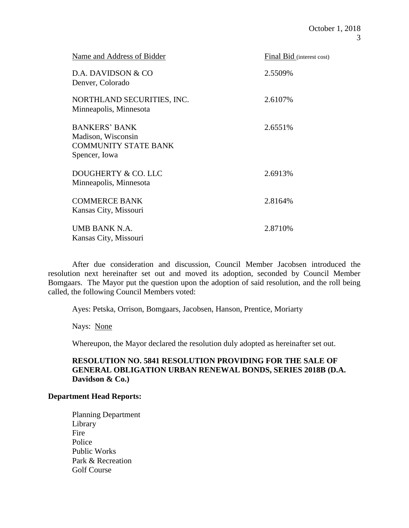| Name and Address of Bidder                                                                 | Final Bid (interest cost) |
|--------------------------------------------------------------------------------------------|---------------------------|
| D.A. DAVIDSON & CO<br>Denver, Colorado                                                     | 2.5509%                   |
| NORTHLAND SECURITIES, INC.<br>Minneapolis, Minnesota                                       | 2.6107%                   |
| <b>BANKERS' BANK</b><br>Madison, Wisconsin<br><b>COMMUNITY STATE BANK</b><br>Spencer, Iowa | 2.6551\%                  |
| DOUGHERTY & CO. LLC<br>Minneapolis, Minnesota                                              | 2.6913\%                  |
| <b>COMMERCE BANK</b><br>Kansas City, Missouri                                              | 2.8164%                   |
| UMB BANK N.A.<br>Kansas City, Missouri                                                     | 2.8710\%                  |

After due consideration and discussion, Council Member Jacobsen introduced the resolution next hereinafter set out and moved its adoption, seconded by Council Member Bomgaars. The Mayor put the question upon the adoption of said resolution, and the roll being called, the following Council Members voted:

Ayes: Petska, Orrison, Bomgaars, Jacobsen, Hanson, Prentice, Moriarty

Nays: None

Whereupon, the Mayor declared the resolution duly adopted as hereinafter set out.

### **RESOLUTION NO. 5841 RESOLUTION PROVIDING FOR THE SALE OF GENERAL OBLIGATION URBAN RENEWAL BONDS, SERIES 2018B (D.A. Davidson & Co.)**

#### **Department Head Reports:**

Planning Department Library Fire Police Public Works Park & Recreation Golf Course